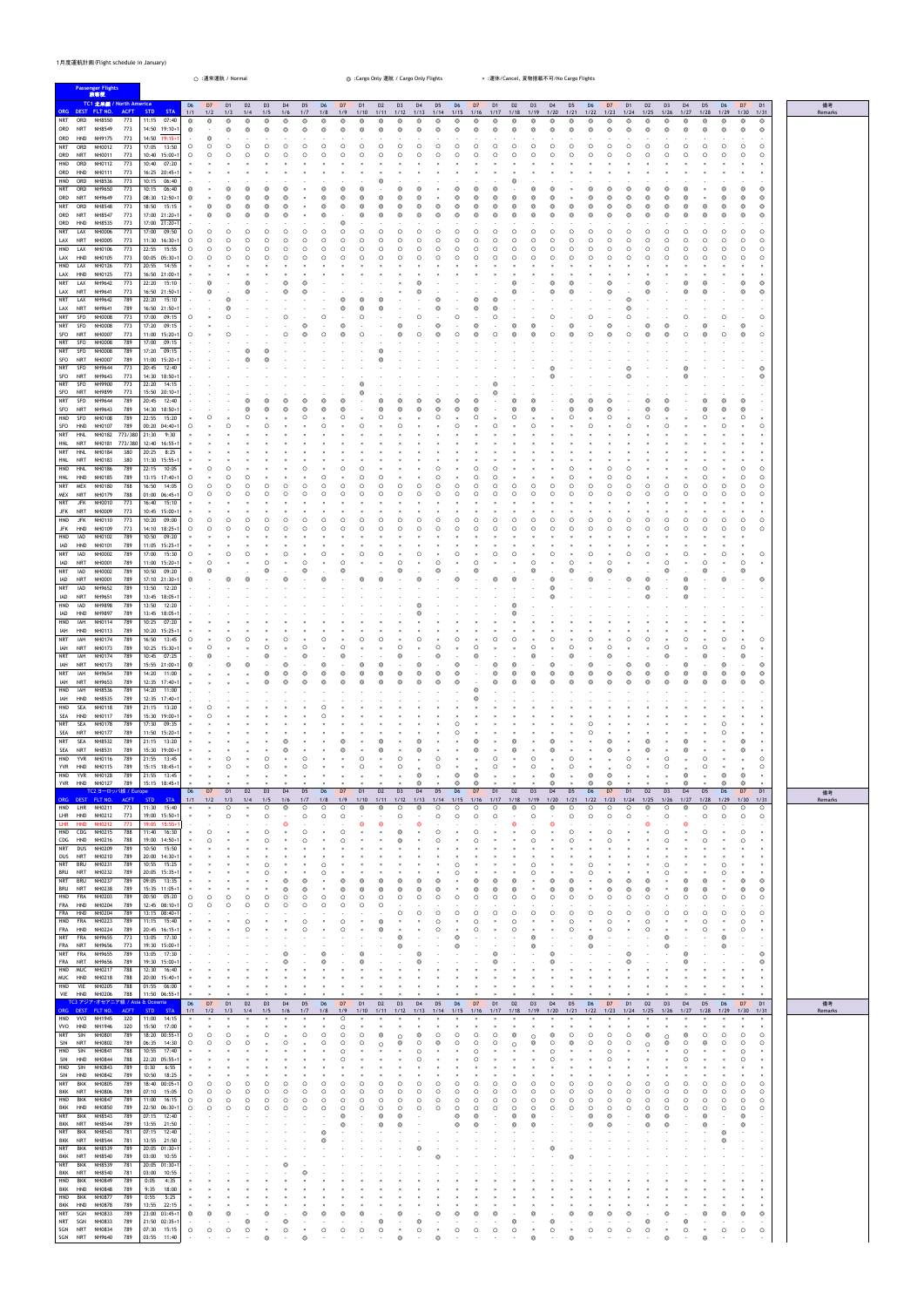## 1月度運航計画(Flight schedule in January)

| <b>Passenger Flights</b>                                                                                                                                                                                                                                                                                                                                                                                                                                                                                                                                                                                                                                                                                                                                                                                                                                                                                                                                                                                                                                                                                                                                                                                                                                                                                                                                                                                                                                                                                                                                                                                                                                                                                                                                                                                                                                                                                                                                                                                                                                                                                                                                                                                                                                                                                                                                                                                                                                                                                                                                                                                                                                                                                                                                                                                                                                                                                                                                                                         | ○ :通常運航 / Normal                                                                                                                                                                                                                                                                                                                                                                                                                                                                                                                                                                                                                                                                                                                                                                                                                                                                                                                                                                                                                                                                                                                                                                                                                                                                                                                                                                                                                                                                                                                                                                                                                                                                                                                                                                                                                                                                                                                                                                                                    |                                                                                                                                                                                                                                                                                                                                                                                                                                   | ◎ :Cargo Only 運航 / Cargo Only Flights                                                                                                                                                                                                                                                                                                                                                                                                                                                           | × :運休/Cancel、貨物搭載不可/No Cargo Flights                                                                                                                                                                                                                                                                                                                                                                                                                                                                                                                                     |                                                                                                                                                                                                                                                                                                                                                                                                                                                                                                                                                                                                                                                                                                                                                                                                                                                                                                                                                                                                                                                                                                                                                                                                                                                                                                                                                                                                                                                                                                                                                                                                                                                                                                                                                                                                              |  |
|--------------------------------------------------------------------------------------------------------------------------------------------------------------------------------------------------------------------------------------------------------------------------------------------------------------------------------------------------------------------------------------------------------------------------------------------------------------------------------------------------------------------------------------------------------------------------------------------------------------------------------------------------------------------------------------------------------------------------------------------------------------------------------------------------------------------------------------------------------------------------------------------------------------------------------------------------------------------------------------------------------------------------------------------------------------------------------------------------------------------------------------------------------------------------------------------------------------------------------------------------------------------------------------------------------------------------------------------------------------------------------------------------------------------------------------------------------------------------------------------------------------------------------------------------------------------------------------------------------------------------------------------------------------------------------------------------------------------------------------------------------------------------------------------------------------------------------------------------------------------------------------------------------------------------------------------------------------------------------------------------------------------------------------------------------------------------------------------------------------------------------------------------------------------------------------------------------------------------------------------------------------------------------------------------------------------------------------------------------------------------------------------------------------------------------------------------------------------------------------------------------------------------------------------------------------------------------------------------------------------------------------------------------------------------------------------------------------------------------------------------------------------------------------------------------------------------------------------------------------------------------------------------------------------------------------------------------------------------------------------------|---------------------------------------------------------------------------------------------------------------------------------------------------------------------------------------------------------------------------------------------------------------------------------------------------------------------------------------------------------------------------------------------------------------------------------------------------------------------------------------------------------------------------------------------------------------------------------------------------------------------------------------------------------------------------------------------------------------------------------------------------------------------------------------------------------------------------------------------------------------------------------------------------------------------------------------------------------------------------------------------------------------------------------------------------------------------------------------------------------------------------------------------------------------------------------------------------------------------------------------------------------------------------------------------------------------------------------------------------------------------------------------------------------------------------------------------------------------------------------------------------------------------------------------------------------------------------------------------------------------------------------------------------------------------------------------------------------------------------------------------------------------------------------------------------------------------------------------------------------------------------------------------------------------------------------------------------------------------------------------------------------------------|-----------------------------------------------------------------------------------------------------------------------------------------------------------------------------------------------------------------------------------------------------------------------------------------------------------------------------------------------------------------------------------------------------------------------------------|-------------------------------------------------------------------------------------------------------------------------------------------------------------------------------------------------------------------------------------------------------------------------------------------------------------------------------------------------------------------------------------------------------------------------------------------------------------------------------------------------|--------------------------------------------------------------------------------------------------------------------------------------------------------------------------------------------------------------------------------------------------------------------------------------------------------------------------------------------------------------------------------------------------------------------------------------------------------------------------------------------------------------------------------------------------------------------------|--------------------------------------------------------------------------------------------------------------------------------------------------------------------------------------------------------------------------------------------------------------------------------------------------------------------------------------------------------------------------------------------------------------------------------------------------------------------------------------------------------------------------------------------------------------------------------------------------------------------------------------------------------------------------------------------------------------------------------------------------------------------------------------------------------------------------------------------------------------------------------------------------------------------------------------------------------------------------------------------------------------------------------------------------------------------------------------------------------------------------------------------------------------------------------------------------------------------------------------------------------------------------------------------------------------------------------------------------------------------------------------------------------------------------------------------------------------------------------------------------------------------------------------------------------------------------------------------------------------------------------------------------------------------------------------------------------------------------------------------------------------------------------------------------------------|--|
| 旅客便<br>TC1 北米線 / North America<br>ORG DEST FLT NO.<br><b>ACFT</b><br>NRT<br>ORD<br>NH8550<br>773<br>ORD<br>NRT<br>NH8549<br>773<br>ORD<br><b>HND</b><br>NH9175<br>773<br>ORD<br>773<br>NRT<br>NH0012<br>773<br>ORD<br>NRT<br>NH0011<br>HND<br>773<br>ORD<br>NH0112<br>ORD<br>HND<br>NH0111<br>773<br>HND<br>ORD<br>NH8536<br>773<br><b>NRT</b><br>773<br>ORD<br>NH9650<br>NRT<br>773<br>ORD<br>NH9649<br><b>NRT</b><br>ORD<br>NH8548<br>773<br>ORD<br>NRT<br>NH8547<br>773<br>ORD<br>HND<br><b>NH8535</b><br>773<br>773<br><b>NRT</b><br>LAX<br>NH0006<br><b>NRT</b><br>LAX<br>NH0005<br>773<br>HND<br>773<br>LAX<br>NH0106<br>773<br>LAX<br>HND<br>NH0105<br>HND<br>LAX<br>NH0126<br>773<br>LAX<br>HND<br>NH0125<br>773<br><b>NRT</b><br>LAX<br>NH9642<br>773<br>LAX<br>NRT<br>773<br>NH9641<br><b>NRT</b><br>NH9642<br>789<br>LAX<br>LAX<br>NRT<br>NH9641<br>789<br>NRT<br>SFO<br><b>NH0008</b><br>773<br>SFO<br>NRT<br><b>NH0008</b><br>773<br>SFO<br>NRT<br><b>NH0007</b><br>773<br>SFO<br>789<br><b>NRT</b><br><b>NH0008</b><br><b>NRT</b><br>SFO<br><b>NH0008</b><br>789<br>SFO<br>NRT<br><b>NH0007</b><br>789<br>NH9644<br>773<br>NRT<br>SFO<br>773<br>SFO<br>NRT<br>NH9643<br>SFO<br>773<br>NRT<br>NH9900<br>SFO<br>773<br>NRT<br>NH9899<br><b>NRT</b><br>NH9644<br>789<br>SFO<br>SFO<br>NRT<br>NH9643<br>789<br>HND<br>SFO<br><b>NH0108</b><br>789<br>SFO<br>HND<br>NH0107<br>789<br>NH0182 773/380<br><b>NRT</b><br><b>HNL</b><br><b>HNL</b><br>NRT<br>NH0181<br>773/380<br><b>NRT</b><br>HNL<br><b>NH0184</b><br>380<br><b>HNL</b><br>NRT<br><b>NH0183</b><br>380<br>HND<br><b>HNL</b><br>NH0186<br>789<br>HNL<br>HND<br><b>NH0185</b><br>789<br>NRT<br>MEX<br><b>NH0180</b><br>788<br>788<br>MEX<br>NRT<br>NH0179<br><b>NRT</b><br>JFK<br>NH0010<br>773<br>NRT<br>NH0009<br>773<br>JFK<br><b>JFK</b><br>773<br>HND<br>NH0110<br><b>JFK</b><br>773<br>HND<br>NH0109<br>IAD<br>789<br>HND<br>NH0102<br>IAD<br>HND<br>NH0101<br>789<br><b>NRT</b><br>IAD<br><b>NH0002</b><br>789<br><b>NRT</b><br>IAD<br>NH0001<br>789<br><b>NRT</b><br>IAD<br>NH0002<br>789<br>IAD<br><b>NRT</b><br>NH0001<br>789<br><b>NRT</b><br>789<br>IAD<br>NH9652<br>IAD<br>NRT<br>NH9651<br>789<br>HND<br>IAD<br>NH9898<br>789<br>IAD<br>HND<br>NH9897<br>789<br>HND<br>IAH<br><b>NH0114</b><br>789<br>NH0113<br>IAH<br>HND<br>789<br><b>NRT</b><br>IAH<br>NH0174<br>789<br>IAH<br>NRT<br><b>NH0173</b><br>789<br>NRT<br>IAH<br>NH0174<br>789<br>IAH<br><b>NRT</b><br>NH0173<br>789<br>NRT<br>IAH<br>NH9654<br>789<br>NRT<br>IAH<br>NH9653<br>789<br>789<br>HND<br>IAH<br>NH8536<br>IAH<br>HND<br>NH8535<br>789<br>HND<br>SEA<br><b>NH0118</b><br>789<br>SEA<br>HND<br>NH0117<br>789<br><b>NRT</b><br>SEA<br>789<br><b>NH0178</b><br>SEA<br>NRT<br><b>NH0177</b><br>789<br><b>NRT</b><br>SEA<br>NH8532<br>789<br>SEA<br><b>NRT</b><br>NH8531<br>789<br><b>YVR</b><br>789<br>HND<br>NH0116<br>YVR HND NH0115<br>789<br>HND<br><b>YVR</b><br><b>NH0128</b><br>789<br>YVR HND NH0127<br>789<br>TC2 ヨーロッパ線 / Europe | D <sub>6</sub><br>D7<br>D <sub>1</sub><br>D <sub>2</sub><br><b>STA</b><br>$1/1$<br>$1/2$<br><b>STD</b><br>1/3<br>1/4<br>07:40<br>11:15<br>$^\circledR$<br>Q<br>$\circledcirc$<br>$^{\circ}$<br>14:50 19:10+1<br>$^\circledR$<br>$\circledcirc$<br>6<br>14:50 19:15+<br>6<br>17:05<br>$\circ$<br>13:50<br>C<br>∩<br>10:40 15:00+<br>$\circ$<br>10:40<br>07:20<br>16:25 20:45+<br>10:15 06:40<br>10:15<br>06:40<br>6<br>08:30 12:50+<br>$\odot$<br>18:50<br>15:15<br>17:00 21:20+1<br>17:00 21:20+<br>17:00<br>09:50<br>$\circ$<br>C<br>C<br>C<br>$\circ$<br>11:30 16:30+1<br>∩<br>∩<br>22:55 15:55<br>$\circ$<br>∩<br>C<br>∩<br>00:05 05:30+1<br>$\circ$<br>20:55<br>14:55<br>16:50 21:00+<br>22:20<br>15:10<br>16:50 21:50+<br>22:20 15:10<br>16:50 21:50+<br>17:00<br>09:15<br>$\circ$<br>17:20<br>09:15<br>11:00 15:20+<br>$\circ$<br>17:00<br>09:15<br>17:20 09:15<br>11:00 15:20+<br>20:45<br>12:40<br>14:30 18:50+<br>22:20<br>14:15<br>15:50 20:10+<br>20:45<br>12:40<br>14:30 18:50+<br>22:55<br>15:20<br>С<br>00:20 04:40+<br>$\circ$<br>21:30<br>9:30<br>12:40 16:55+<br>20:25<br>8:25<br>11:30 15:55+1<br>22:15<br>10:05<br>С<br>13:15 17:40+1<br>$\circ$<br>16:50<br>$\circ$<br>14:05<br>C<br>∩<br>01:00 06:45+1<br>$\circ$<br>16:40<br>15:10<br>10:45 15:00+<br>10:20<br>09:00<br>$\circ$<br>С<br>∩<br>$\circ$<br>14:10 18:25+<br>C<br>∩<br>10:50<br>09:20<br>11:05 15:25+<br>17:00<br>15:30<br>$\circ$<br>C<br>11:00 15:20+1<br>O<br>$\boldsymbol{\times}$<br>09:20<br>10:50<br>17:10 21:30+1<br>0<br>13:50<br>12:20<br>13:45 18:05+<br>13:50<br>12:20<br>13:45 18:05+<br>10:25<br>07:20<br>10:20 15:25+<br>16:50<br>13:45<br>O<br>10:25 15:30+1<br>10:45 07:25<br>15:55 21:00+1<br>6<br>14:20<br>11:00<br>12:35 17:40+1<br>14:20 11:00<br>12:35 17:40+<br>21:15 13:20<br>15:30 19:00+<br>17:30<br>09:35<br>11:50 15:20+<br>21:15<br>13:20<br>15:30 19:00+1<br>21:55<br>13:45<br>15:15 18:45+1<br>21:55 13:45<br>15:15 18:45+1<br>D <sub>6</sub><br>D <sub>2</sub><br>D <sub>7</sub><br>D <sub>1</sub> | D <sub>3</sub><br>D <sub>4</sub><br>D <sub>5</sub><br>D <sub>6</sub><br>1/5<br>1/6<br>1/7<br>$1/8$<br>$^{\circ}$<br>$^{\circ}$<br>©<br>©<br>$\odot$<br>◎<br>$^{\circ}$<br>$^{\circ}$<br>C<br>∩<br>C<br>С<br>C<br>C<br>C<br>С<br>$\subset$<br>∩<br>C<br>C<br>∩<br>Ω<br>◠<br>∩<br>С<br>С<br>C<br>C<br>C<br>С<br>С<br>C<br>C<br>C<br>С<br>$\circ$<br>$\circ$<br>D <sub>3</sub><br>D <sub>4</sub><br>D <sub>5</sub><br>D <sub>6</sub> | D7<br>D <sub>1</sub><br>D <sub>2</sub><br>D <sub>3</sub><br>D <sub>4</sub><br>D <sub>5</sub><br>1/9<br>1/13<br>1/10<br>1/11<br>1/12<br>1/14<br>$^{\circ}$<br>⊚<br>C<br>Q<br>©<br>$^{\circ}$<br>$^{\circ}$<br>$\odot$<br>$^{\circ}$<br>⊚<br>⊚<br>C<br>∩<br>С<br>C<br>С<br>C<br>C<br>C<br>C<br>∩<br>C<br>$\circ$<br>$\circ$<br>Ω<br>∩<br>C<br>∩<br>C<br>С<br>$\circ$<br>$\Omega$<br>$\Omega$<br>6<br>D7<br>D <sub>2</sub><br>D <sub>3</sub><br>D <sub>4</sub><br>D <sub>5</sub><br>D <sub>1</sub> | D <sub>6</sub><br>D7<br>D <sub>1</sub><br>D <sub>2</sub><br>D <sub>3</sub><br>D <sub>4</sub><br>D <sub>5</sub><br>1/17<br>1/20<br>1/21<br>1/15<br>1/16<br>1/18<br>1/19<br>$\circledcirc$<br>$^{\circ}$<br>$^{\circ}$<br>$\circledcirc$<br>⊚<br>$\circledcirc$<br>$\circledcirc$<br>$\circledcirc$<br>⊚<br>0<br>∩<br>∩<br>∩<br>∩<br>Ω<br>O<br>◠<br>∩<br>∩<br>∩<br>∩<br>∩<br>∩<br>∩<br>∩<br>∩<br>∩<br>O<br>∩<br>∩<br>$\Omega$<br>∩<br>∩<br>0<br>D <sub>3</sub><br>D <sub>6</sub><br>D <sub>1</sub><br>D <sub>2</sub><br>D <sub>4</sub><br>D <sub>5</sub><br>D <sub>7</sub> | D <sub>6</sub><br>D7<br>D <sub>1</sub><br>D <sub>2</sub><br>D <sub>3</sub><br>D <sub>4</sub><br>D <sub>5</sub><br>D <sub>6</sub><br>D7<br>D <sub>1</sub><br>備考<br>1/25<br>1/27<br>1/28<br>1/29<br>1/30<br>1/22<br>1/23<br>1/24<br>$1/26$<br>1/31<br>Remarks<br>$\circledcirc$<br>$^\copyright$<br>$^{\circ}$<br>$^{\circ}$<br>◎<br>$^{\circ}$<br>$^{\circ}$<br>$\circledcirc$<br>◎<br>$\circledcirc$<br>$\circledcirc$<br>$\circledcirc$<br>$^\copyright$<br>$\circledcirc$<br>⊚<br>$\circledcirc$<br>⊚<br>⊚<br>ര<br>$\sim$<br>$\circ$<br>$\circ$<br>$\circ$<br>∩<br>◠<br>∩<br>O<br>$\circ$<br>$\Omega$<br>∩<br>$\times$<br>$^\copyright$<br>$\circledcirc$<br>$\circledcirc$<br>⊚<br>6<br>$\circledcirc$<br>$\odot$<br>$\circ$<br>$\circ$<br>∩<br>∩<br>O<br>O<br>O<br>$\circ$<br>$\cap$<br>∩<br>$\circ$<br>$\circ$<br>∩<br>∩<br>$\circ$<br>$\circ$<br>$\circ$<br>$\circ$<br>∩<br>∩<br>∩<br>$\circ$<br>$\circ$<br>C<br>$\times$<br>$\times$<br>$\circledcirc$<br>ത<br>$\circledcirc$<br>ര<br>$\circ$<br>∩<br>0<br>$\circ$<br>∩<br>O<br>$\circledcirc$<br>$\circledcirc$<br>$\sim$<br>∩<br>$\times$<br>$\circ$<br>∩<br>$\times$<br>$\circ$<br>O<br>$\circ$<br>∩<br>$\circ$<br>$\circ$<br>∩<br>∩<br>$\circ$<br>$\Omega$<br>$\Omega$<br>$\times$<br>$\times$<br>$\circ$<br>$\circ$<br>∩<br>∩<br>∩<br>C<br>$\circ$<br>$\circ$<br>$\circ$<br>∩<br>∩<br>$\circ$<br>$\circ$<br>◠<br>$\circ$<br>$\circ$<br>$\circ$<br>$\times$<br>$\boldsymbol{\times}$<br>$\circledcirc$<br>$\circ$<br>$\circledcirc$<br>$\circledcirc$<br>$\circledcirc$<br>$\circ$<br>$\circ$<br>$\boldsymbol{\times}$<br>⋒<br>ര<br>ര<br>ര<br>$\boldsymbol{\times}$<br>D <sub>4</sub><br>D <sub>1</sub><br>D <sub>7</sub><br>D <sub>1</sub><br>D <sub>2</sub><br>D <sub>5</sub><br>D <sub>6</sub><br>D7<br>D <sub>6</sub><br>D <sub>3</sub><br>備考 |  |
| ORG DEST FLT NO.<br>ACFT<br>HND LHR NH0211<br>773<br>LHR HND NH0212<br>773<br>LHR<br><b>HND</b><br>773<br><b>NH0212</b><br>CDG<br>788<br>HND<br>NH0215<br>788<br>CDG HND<br>NH0216<br><b>NRT</b><br>DUS<br>NH0209<br>789<br><b>NRT</b><br>789<br>DUS<br>NH0210<br><b>BRU</b><br><b>NRT</b><br>NH0231<br>789<br><b>BRU</b><br><b>NRT</b><br>NH0232<br>789<br>NRT<br>BRU<br>NH0237<br>789<br>BRU<br><b>NRT</b><br><b>NH0238</b><br>789<br>HND<br>FRA<br>NH0203<br>789<br>FRA<br>HND<br>NH0204<br>789<br>FRA<br>HND<br>NH0204<br>789<br>HND<br>FRA<br><b>NH0223</b><br>789<br>FRA<br>HND<br><b>NH0224</b><br>789<br>FRA<br>NRT<br>NH9655<br>773<br><b>NRT</b><br>FRA<br>NH9656<br>773<br><b>NRT</b><br>FRA<br>NH9655<br>789<br>FRA<br>NRT<br>NH9656<br>789<br>HND<br><b>MUC</b><br>NH0217<br>788<br>MUC HND<br>NH0218<br>788<br>VIE<br>788<br>HND<br><b>NH0205</b><br>VIE HND NH0206<br>788                                                                                                                                                                                                                                                                                                                                                                                                                                                                                                                                                                                                                                                                                                                                                                                                                                                                                                                                                                                                                                                                                                                                                                                                                                                                                                                                                                                                                                                                                                                                                                                                                                                                                                                                                                                                                                                                                                                                                                                                                                                                                                         | STD<br><b>STA</b><br>1/1<br>$1/2$<br>1/4<br>1/3<br>11:30 15:40<br>Ω<br>19:00 15:50+1<br>Ω<br>19:05 15:55+<br>11:40<br>16:30<br>19:00 14:50+<br>10:50<br>15:50<br>20:00 14:30+<br>10:55<br>15:25<br>20:05 15:35+<br>09:05<br>13:35<br>15:35 11:05+1<br>00:50<br>05:20<br>C<br>12:45 08:10+1<br>∩<br>13:15 08:40+<br>11:15 15:40<br>20:45 16:15+<br>13:05<br>17:30<br>19:30 15:00+<br>13:05<br>17:30<br>19:30 15:00+<br>12:30<br>16:40<br>20:00 15:40+1<br>01:55<br>06:00<br>11:50 06:55+1                                                                                                                                                                                                                                                                                                                                                                                                                                                                                                                                                                                                                                                                                                                                                                                                                                                                                                                                                                                                                                                                                                                                                                                                                                                                                                                                                                                                                                                                                                                            | 1/5<br>1/6<br>1/7<br>1/8<br>$\circ$<br><b>©</b><br>$\circ$<br>$\circ$<br>$\Omega$<br>$\Omega$<br>$\Omega$                                                                                                                                                                                                                                                                                                                         | 1/9<br>1/10<br>1/11<br>1/12<br>1/13<br>1/14<br>C<br>6<br>Ω<br>C<br>$\Omega$<br>∩                                                                                                                                                                                                                                                                                                                                                                                                                | 1/17<br>1/18<br>1/19<br>1/20<br>1/21<br>1/15<br>1/16<br>$\circ$<br>Ω<br>Ω<br>$\circ$<br>$\Omega$<br>$\Omega$<br>∩<br>∩                                                                                                                                                                                                                                                                                                                                                                                                                                                   | 1/22<br>1/23<br>1/24<br>1/25<br>1/26<br>1/27<br>1/28<br>1/29<br>1/30<br>1/31<br>Remarks<br>$\circ$<br>$\circ$<br>$\circledcirc$<br>$\Omega$<br>$\Omega$<br>$\Omega$<br>∩<br>◠<br>$\circ$<br>$\circ$<br>$\circ$<br>∩<br>$\Omega$<br>$\circ$<br>∩<br>∩<br>$\circledcirc$<br>$\circledcirc$<br>$\circ$<br>$\circ$<br>$\times$<br>⊚<br>⊚<br>$\times$<br>$\times$                                                                                                                                                                                                                                                                                                                                                                                                                                                                                                                                                                                                                                                                                                                                                                                                                                                                                                                                                                                                                                                                                                                                                                                                                                                                                                                                                                                                                                                 |  |
| TC3 アジア・オセアニア線 / Asia & Oceania<br>ORG DEST FLT NO.<br><b>ACFT</b><br>HND<br><b>VVO</b><br>NH1945<br>320                                                                                                                                                                                                                                                                                                                                                                                                                                                                                                                                                                                                                                                                                                                                                                                                                                                                                                                                                                                                                                                                                                                                                                                                                                                                                                                                                                                                                                                                                                                                                                                                                                                                                                                                                                                                                                                                                                                                                                                                                                                                                                                                                                                                                                                                                                                                                                                                                                                                                                                                                                                                                                                                                                                                                                                                                                                                                         | D <sub>6</sub><br>D7<br>D <sub>1</sub><br>D <sub>2</sub><br>$1/1$<br>STD<br><b>STA</b><br>$1/2$<br>1/4<br>1/3<br>14:15                                                                                                                                                                                                                                                                                                                                                                                                                                                                                                                                                                                                                                                                                                                                                                                                                                                                                                                                                                                                                                                                                                                                                                                                                                                                                                                                                                                                                                                                                                                                                                                                                                                                                                                                                                                                                                                                                              | D <sub>5</sub><br>D <sub>3</sub><br>D <sub>4</sub><br>D <sub>6</sub><br>$1/8$<br>1/5<br>1/7<br>1/6                                                                                                                                                                                                                                                                                                                                | D <sub>2</sub><br>D7<br>D <sub>1</sub><br>D <sub>3</sub><br>D <sub>4</sub><br>D <sub>5</sub><br>1/9<br>1/10<br>1/11<br>1/12<br>1/13<br>1/14<br>C                                                                                                                                                                                                                                                                                                                                                | D <sub>6</sub><br>D <sub>1</sub><br>D <sub>2</sub><br>D <sub>3</sub><br>D <sub>5</sub><br>D7<br>D <sub>4</sub><br>1/15<br>1/17<br>1/18<br>1/19<br>1/20<br>1/21<br>1/16                                                                                                                                                                                                                                                                                                                                                                                                   | D <sub>4</sub><br>D <sub>5</sub><br>D <sub>6</sub><br>D7<br>D <sub>1</sub><br>D7<br>D <sub>1</sub><br>D <sub>2</sub><br>D <sub>3</sub><br>備考<br>D <sub>6</sub><br>$1/25$<br>1/27<br>1/29<br>1/30<br>1/31<br>1/22<br>1/23<br>1/24<br>1/26<br>1/28<br>Remarks                                                                                                                                                                                                                                                                                                                                                                                                                                                                                                                                                                                                                                                                                                                                                                                                                                                                                                                                                                                                                                                                                                                                                                                                                                                                                                                                                                                                                                                                                                                                                  |  |
| <b>VVO</b><br><b>HND</b><br>NH1946<br>320<br><b>NRT</b><br>SIN<br>NH0801<br>789<br>SIN<br>NRT<br><b>NH0802</b><br>789<br>HND<br><b>SIN</b><br>NH0841<br>788<br>SIN<br>788<br><b>HND</b><br><b>NH0844</b><br>HND<br>SIN<br>NH0843<br>789<br>SIN<br>HND<br>NH0842<br>789<br><b>NRT</b><br>BKK<br>789<br><b>NH0805</b><br>BKK<br><b>NRT</b><br>789<br>NH0806<br>789<br>HND<br><b>BKK</b><br>NH0847<br><b>BKK</b><br>HND NH0850<br>789<br><b>BKK</b><br>NRT<br>NH8543<br>789<br>BKK NRT<br>NH8544<br>789<br><b>NRT</b><br>BKK<br>NH8543<br>781<br>BKK NRT<br>NH8544<br>781<br>NRT<br>BKK<br>NH8539<br>789<br>BKK NRT<br>NH8540<br>789<br>NRT<br>BKK<br>NH8539<br>781<br>BKK<br>781<br>NRT<br>NH8540<br>BKK<br>NH0849<br>789<br>HND<br>BKK HND NH0848<br>789<br>HND<br>BKK NH0877<br>789<br>BKK HND NH0878<br>789<br>SGN<br>NRT<br>NH0833<br>789<br>NRT SGN NH0833<br>789<br>SGN NRT NH0834<br>789<br>SGN NRT NH9640<br>789                                                                                                                                                                                                                                                                                                                                                                                                                                                                                                                                                                                                                                                                                                                                                                                                                                                                                                                                                                                                                                                                                                                                                                                                                                                                                                                                                                                                                                                                                                                                                                                                                                                                                                                                                                                                                                                                                                                                                                                                                                                                           | 11:00<br>15:50 17:00<br>18:20 00:55+<br>∩<br>06:35<br>14:30<br>$\Omega$<br>10:55<br>17:40<br>22:20 05:55+1<br>0:30<br>6:55<br>10:50<br>18:25<br>$18:40$ $00:05+1$<br>$\circ$<br>O<br>07:10 15:05<br>$\circ$<br>O<br>C<br>11:00 16:15<br>$\circ$<br>O<br>O<br>O<br>22:50 06:30+1<br>$\circ$<br>$\circ$<br>$\circ$<br>$\circ$<br>07:15 12:40<br>13:55 21:50<br>07:15 12:40<br>13:55 21:50<br>20:05 01:30+1<br>03:00 10:55<br>20:05 01:30+1<br>03:00 10:55<br>$0:05$ 4:35<br>9:35<br>18:00<br>$0:55$ $5:25$<br>13:55 22:15<br>$\boldsymbol{\times}$<br>23:00 03:45+1<br>$\circledcirc$<br>6<br>21:50 02:35+1<br>$\circledcirc$<br>$\sim$<br>07:30 15:15<br>$\circ$<br>$\circ$<br>$\circ$<br>$\circ$<br>03:55 11:40<br>$\overline{\phantom{a}}$                                                                                                                                                                                                                                                                                                                                                                                                                                                                                                                                                                                                                                                                                                                                                                                                                                                                                                                                                                                                                                                                                                                                                                                                                                                                         | C<br>O<br>Ω<br>O<br>O<br>$\circ$<br>$\circ$<br>$\circ$<br>$\circ$<br>$\circ$<br>$\circ$<br>ര<br>⊚<br>⊚<br>0<br>⊚.<br>$\circ$<br>$\circ$<br>$\times$<br>$\boldsymbol{\times}$<br>$\circledcirc$<br>$\odot$                                                                                                                                                                                                                         | C<br>C<br>O<br>C<br>Ω<br>C<br>$\circ$<br>C<br>O<br>C<br>$\circ$<br>$\circ$<br>$\circ$<br>$\circ$<br>$\circ$<br>∩<br>6<br>ര<br>ര<br>$\odot$<br>6<br>෧<br>$\odot$<br>⊚.<br>6<br>O<br>⊚<br>$\circ$<br>$\circ$<br>$\circ$<br>$\circ$<br>$\times$<br>$\times$<br>$\odot$<br>$\odot$                                                                                                                                                                                                                  | Ω<br>$\circ$<br>$\circ$<br>$\circ$<br>$\circ$<br>$\circ$<br>$\circ$<br>$\circ$<br>$\circ$<br>$\circ$<br>∩<br>$\circ$<br>∩<br>$\odot$<br>ര<br>⊚<br>$\odot$<br>ര<br>ര<br>⊚<br>$^{\circ}$<br>⊚<br>ര<br>$\circ$<br>$\circ$<br>$\circ$<br>$\circ$<br>$\circ$<br>$\circledcirc$<br>$\odot$                                                                                                                                                                                                                                                                                     | $\boldsymbol{\times}$<br>$\circ$<br>O<br>O<br>$\circ$<br>∩<br>∩<br>∩<br>$\circ$<br>$\circ$<br>$\times$<br>$\Omega$<br>$\times$<br>$\Omega$<br>$\times$<br>$\circ$<br>$\circ$<br>$\circ$<br>$\circ$<br>$\Omega$<br>$\circ$<br>$\circ$<br>$\circ$<br>$\circ$<br>$\circ$<br>$\circ$<br>$\circ$<br>$\circ$<br>$\circ$<br>$\circ$<br>$\circ$<br>$\circ$<br>$\circ$<br>$\circ$<br>$\circ$<br>∩<br>∩<br>∩<br>∩<br>ര<br>⊚<br>$\sim$<br>ര<br>ര<br>$\sim$<br>⊚<br>$\times$<br>$\times$<br>$\circledcirc$<br>ര<br>$\odot$<br>ര<br>⊚<br>ര<br>$\circ$<br>$\circ$<br>$\circ$<br>$\circ$<br>$\circ$<br>$\circ$<br>$\circ$<br>$\circ$<br>⊚<br>ര                                                                                                                                                                                                                                                                                                                                                                                                                                                                                                                                                                                                                                                                                                                                                                                                                                                                                                                                                                                                                                                                                                                                                                              |  |